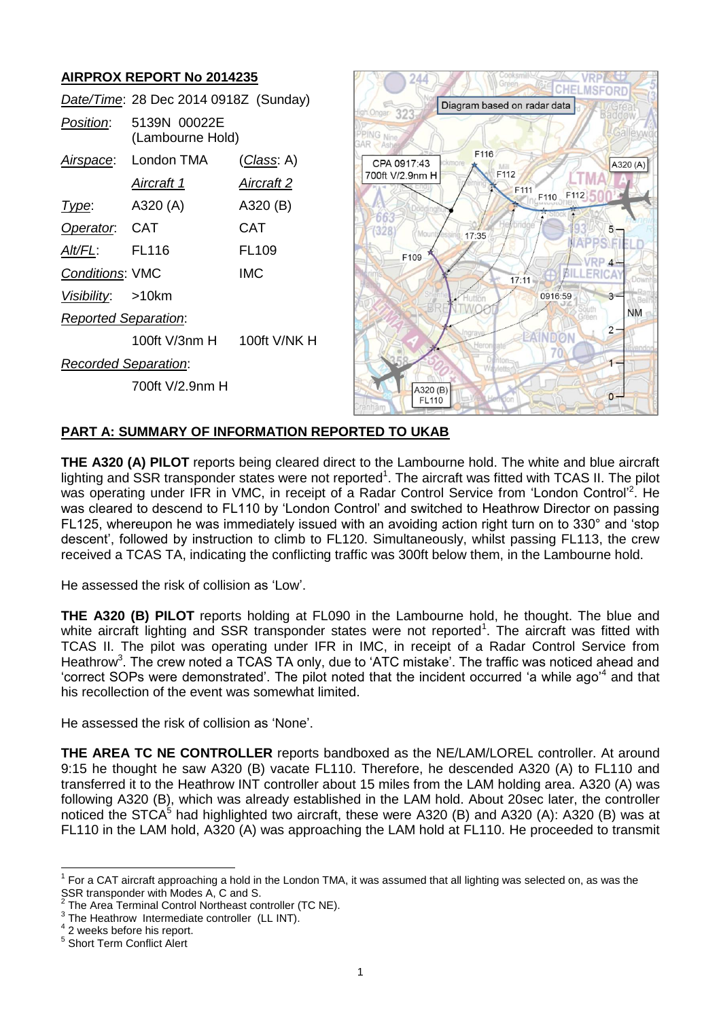# **AIRPROX REPORT No 2014235**

|                             | Date/Time: 28 Dec 2014 0918Z (Sunday) |                    |
|-----------------------------|---------------------------------------|--------------------|
| Position:                   | 5139N 00022E<br>(Lambourne Hold)      |                    |
| Airspace:                   | London TMA                            | <u>(Class</u> : A) |
|                             | Aircraft 1                            | Aircraft 2         |
| l ype:                      | A320 (A)                              | A320 (B)           |
| Operator. CAT               |                                       | CAT                |
| AIt/FL:                     | <b>FL116</b>                          | FL <sub>109</sub>  |
| <b>Conditions: VMC</b>      |                                       | IMC.               |
| Visibility: >10km           |                                       |                    |
| <b>Reported Separation:</b> |                                       |                    |
|                             |                                       |                    |
| <b>Recorded Separation:</b> |                                       |                    |
|                             | 700ft V/2.9nm H                       |                    |
|                             |                                       |                    |



## **PART A: SUMMARY OF INFORMATION REPORTED TO UKAB**

<span id="page-0-0"></span>**THE A320 (A) PILOT** reports being cleared direct to the Lambourne hold. The white and blue aircraft lighting and SSR transponder states were not reported<sup>1</sup>. The aircraft was fitted with TCAS II. The pilot was operating under IFR in VMC, in receipt of a Radar Control Service from 'London Control'<sup>2</sup>. He was cleared to descend to FL110 by 'London Control' and switched to Heathrow Director on passing FL125, whereupon he was immediately issued with an avoiding action right turn on to 330° and 'stop descent', followed by instruction to climb to FL120. Simultaneously, whilst passing FL113, the crew received a TCAS TA, indicating the conflicting traffic was 300ft below them, in the Lambourne hold.

He assessed the risk of collision as 'Low'.

**THE A320 (B) PILOT** reports holding at FL090 in the Lambourne hold, he thought. The blue and white aircraft lighting and SSR transponder states were not reported<sup>[1](#page-0-0)</sup>. The aircraft was fitted with TCAS II. The pilot was operating under IFR in IMC, in receipt of a Radar Control Service from Heathrow<sup>3</sup>. The crew noted a TCAS TA only, due to 'ATC mistake'. The traffic was noticed ahead and 'correct SOPs were demonstrated'. The pilot noted that the incident occurred 'a while ago<sup>'4</sup> and that his recollection of the event was somewhat limited.

He assessed the risk of collision as 'None'.

**THE AREA TC NE CONTROLLER** reports bandboxed as the NE/LAM/LOREL controller. At around 9:15 he thought he saw A320 (B) vacate FL110. Therefore, he descended A320 (A) to FL110 and transferred it to the Heathrow INT controller about 15 miles from the LAM holding area. A320 (A) was following A320 (B), which was already established in the LAM hold. About 20sec later, the controller noticed the STCA<sup>5</sup> had highlighted two aircraft, these were A320 (B) and A320 (A): A320 (B) was at FL110 in the LAM hold, A320 (A) was approaching the LAM hold at FL110. He proceeded to transmit

 $\overline{a}$ 

<sup>1</sup> For a CAT aircraft approaching a hold in the London TMA, it was assumed that all lighting was selected on, as was the SSR transponder with Modes A, C and S.<br><sup>2</sup> The Area Terminal Central Nartheast as

The Area Terminal Control Northeast controller (TC NE).

<sup>3</sup> The Heathrow Intermediate controller (LL INT).

<sup>4</sup> 2 weeks before his report.

<sup>5</sup> Short Term Conflict Alert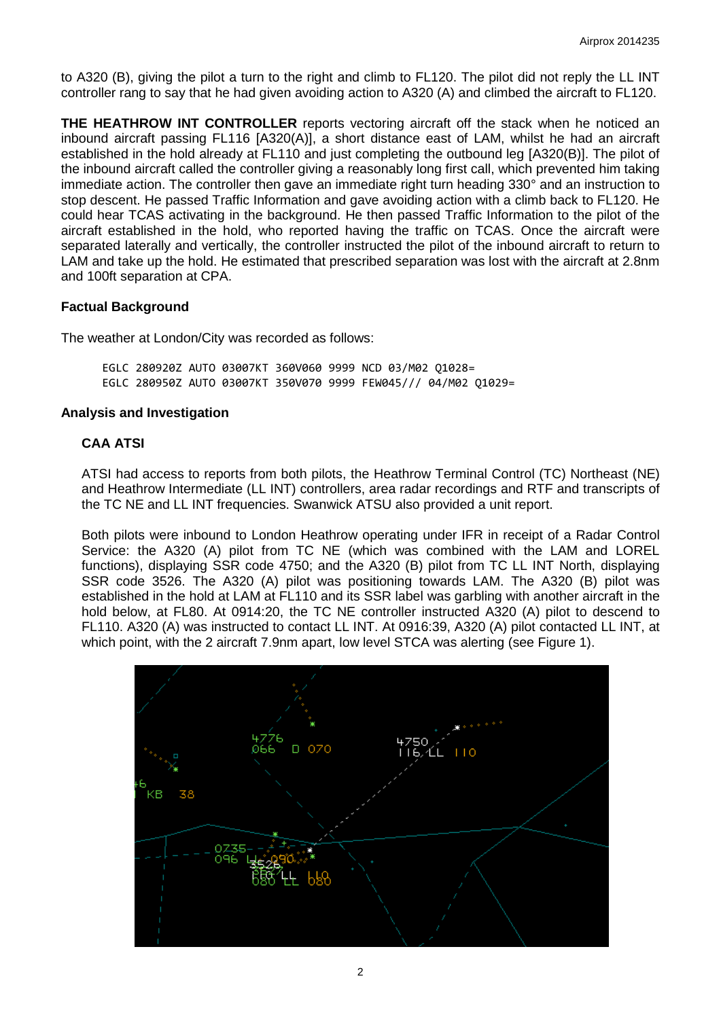to A320 (B), giving the pilot a turn to the right and climb to FL120. The pilot did not reply the LL INT controller rang to say that he had given avoiding action to A320 (A) and climbed the aircraft to FL120.

**THE HEATHROW INT CONTROLLER** reports vectoring aircraft off the stack when he noticed an inbound aircraft passing FL116 [A320(A)], a short distance east of LAM, whilst he had an aircraft established in the hold already at FL110 and just completing the outbound leg [A320(B)]. The pilot of the inbound aircraft called the controller giving a reasonably long first call, which prevented him taking immediate action. The controller then gave an immediate right turn heading 330° and an instruction to stop descent. He passed Traffic Information and gave avoiding action with a climb back to FL120. He could hear TCAS activating in the background. He then passed Traffic Information to the pilot of the aircraft established in the hold, who reported having the traffic on TCAS. Once the aircraft were separated laterally and vertically, the controller instructed the pilot of the inbound aircraft to return to LAM and take up the hold. He estimated that prescribed separation was lost with the aircraft at 2.8nm and 100ft separation at CPA.

## **Factual Background**

The weather at London/City was recorded as follows:

EGLC 280920Z AUTO 03007KT 360V060 9999 NCD 03/M02 Q1028= EGLC 280950Z AUTO 03007KT 350V070 9999 FEW045/// 04/M02 Q1029=

## **Analysis and Investigation**

## **CAA ATSI**

ATSI had access to reports from both pilots, the Heathrow Terminal Control (TC) Northeast (NE) and Heathrow Intermediate (LL INT) controllers, area radar recordings and RTF and transcripts of the TC NE and LL INT frequencies. Swanwick ATSU also provided a unit report.

Both pilots were inbound to London Heathrow operating under IFR in receipt of a Radar Control Service: the A320 (A) pilot from TC NE (which was combined with the LAM and LOREL functions), displaying SSR code 4750; and the A320 (B) pilot from TC LL INT North, displaying SSR code 3526. The A320 (A) pilot was positioning towards LAM. The A320 (B) pilot was established in the hold at LAM at FL110 and its SSR label was garbling with another aircraft in the hold below, at FL80. At 0914:20, the TC NE controller instructed A320 (A) pilot to descend to FL110. A320 (A) was instructed to contact LL INT. At 0916:39, A320 (A) pilot contacted LL INT, at which point, with the 2 aircraft 7.9nm apart, low level STCA was alerting (see Figure 1).

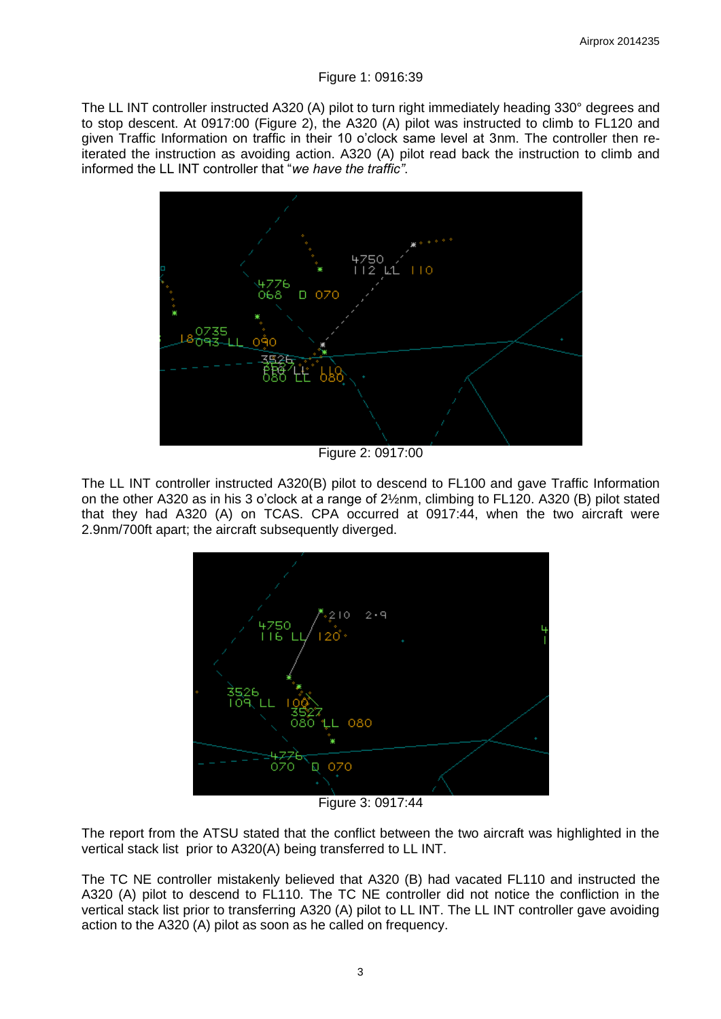#### Figure 1: 0916:39

The LL INT controller instructed A320 (A) pilot to turn right immediately heading 330° degrees and to stop descent. At 0917:00 (Figure 2), the A320 (A) pilot was instructed to climb to FL120 and given Traffic Information on traffic in their 10 o'clock same level at 3nm. The controller then reiterated the instruction as avoiding action. A320 (A) pilot read back the instruction to climb and informed the LL INT controller that "*we have the traffic"*.



Figure 2: 0917:00

The LL INT controller instructed A320(B) pilot to descend to FL100 and gave Traffic Information on the other A320 as in his 3 o'clock at a range of 2½nm, climbing to FL120. A320 (B) pilot stated that they had A320 (A) on TCAS. CPA occurred at 0917:44, when the two aircraft were 2.9nm/700ft apart; the aircraft subsequently diverged.



Figure 3: 0917:44

The report from the ATSU stated that the conflict between the two aircraft was highlighted in the vertical stack list prior to A320(A) being transferred to LL INT.

The TC NE controller mistakenly believed that A320 (B) had vacated FL110 and instructed the A320 (A) pilot to descend to FL110. The TC NE controller did not notice the confliction in the vertical stack list prior to transferring A320 (A) pilot to LL INT. The LL INT controller gave avoiding action to the A320 (A) pilot as soon as he called on frequency.